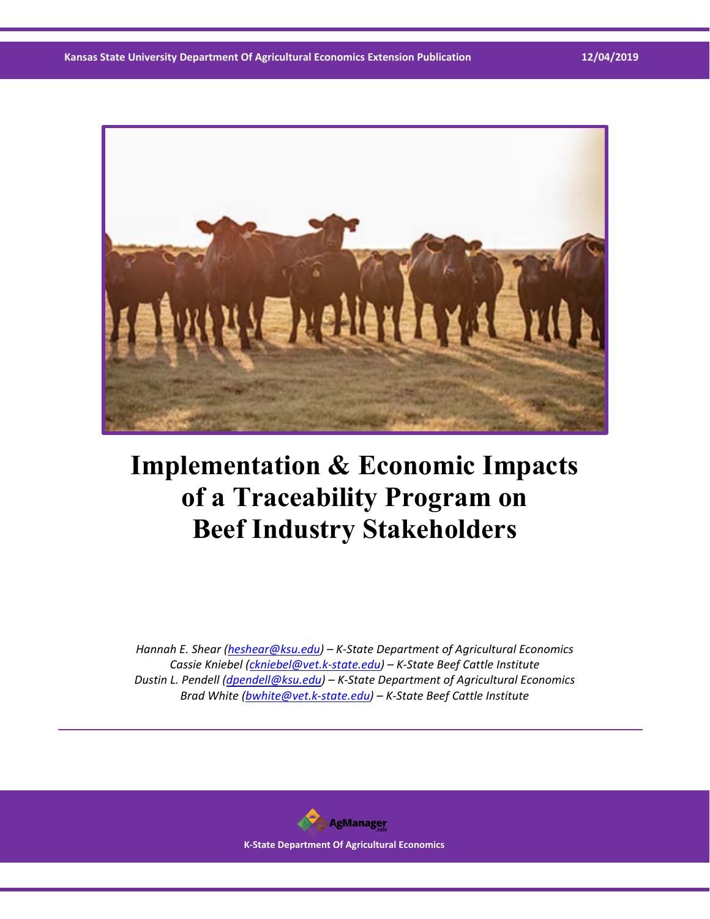

# **Implementation & Economic Impacts of a Traceability Program on Beef Industry Stakeholders**

*Hannah E. Shear (heshear@ksu.edu) – K‐State Department of Agricultural Economics Cassie Kniebel (ckniebel@vet.k‐state.edu) – K‐State Beef Cattle Institute Dustin L. Pendell (dpendell@ksu.edu) – K‐State Department of Agricultural Economics Brad White (bwhite@vet.k‐state.edu) – K‐State Beef Cattle Institute* 

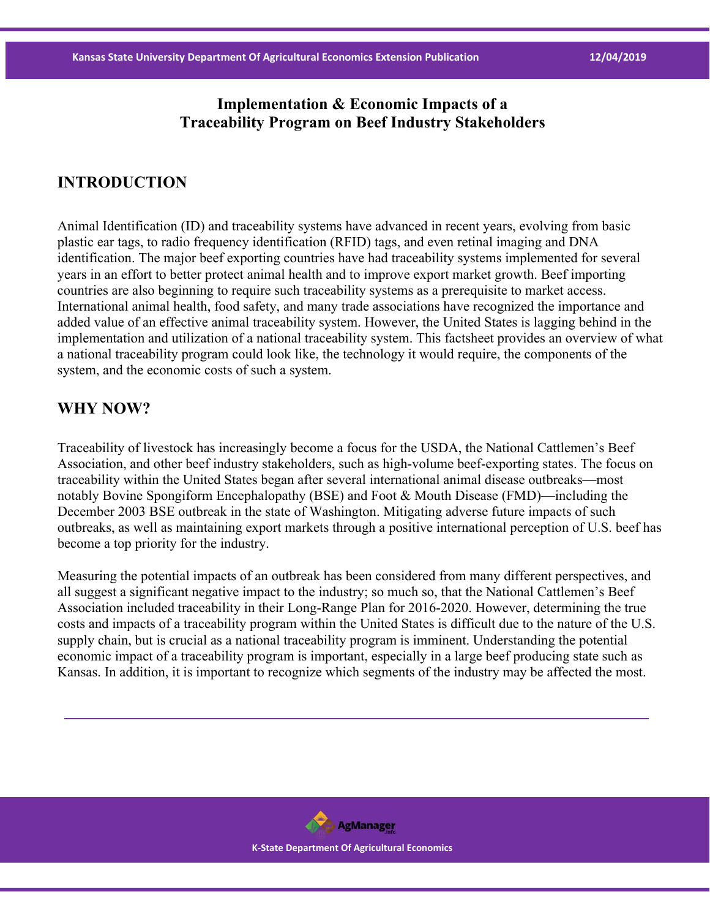#### **Implementation & Economic Impacts of a Traceability Program on Beef Industry Stakeholders**

#### **INTRODUCTION**

Animal Identification (ID) and traceability systems have advanced in recent years, evolving from basic plastic ear tags, to radio frequency identification (RFID) tags, and even retinal imaging and DNA identification. The major beef exporting countries have had traceability systems implemented for several years in an effort to better protect animal health and to improve export market growth. Beef importing countries are also beginning to require such traceability systems as a prerequisite to market access. International animal health, food safety, and many trade associations have recognized the importance and added value of an effective animal traceability system. However, the United States is lagging behind in the implementation and utilization of a national traceability system. This factsheet provides an overview of what a national traceability program could look like, the technology it would require, the components of the system, and the economic costs of such a system.

#### **WHY NOW?**

Traceability of livestock has increasingly become a focus for the USDA, the National Cattlemen's Beef Association, and other beef industry stakeholders, such as high-volume beef-exporting states. The focus on traceability within the United States began after several international animal disease outbreaks—most notably Bovine Spongiform Encephalopathy (BSE) and Foot & Mouth Disease (FMD)—including the December 2003 BSE outbreak in the state of Washington. Mitigating adverse future impacts of such outbreaks, as well as maintaining export markets through a positive international perception of U.S. beef has become a top priority for the industry.

Measuring the potential impacts of an outbreak has been considered from many different perspectives, and all suggest a significant negative impact to the industry; so much so, that the National Cattlemen's Beef Association included traceability in their Long-Range Plan for 2016-2020. However, determining the true costs and impacts of a traceability program within the United States is difficult due to the nature of the U.S. supply chain, but is crucial as a national traceability program is imminent. Understanding the potential economic impact of a traceability program is important, especially in a large beef producing state such as Kansas. In addition, it is important to recognize which segments of the industry may be affected the most.

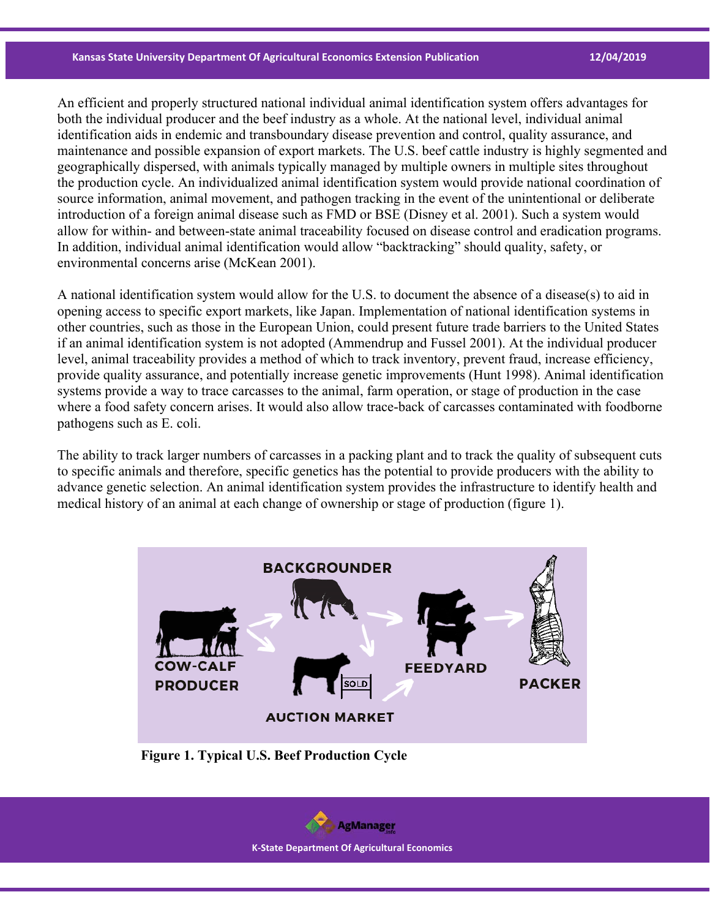An efficient and properly structured national individual animal identification system offers advantages for both the individual producer and the beef industry as a whole. At the national level, individual animal identification aids in endemic and transboundary disease prevention and control, quality assurance, and maintenance and possible expansion of export markets. The U.S. beef cattle industry is highly segmented and geographically dispersed, with animals typically managed by multiple owners in multiple sites throughout the production cycle. An individualized animal identification system would provide national coordination of source information, animal movement, and pathogen tracking in the event of the unintentional or deliberate introduction of a foreign animal disease such as FMD or BSE (Disney et al. 2001). Such a system would allow for within- and between-state animal traceability focused on disease control and eradication programs. In addition, individual animal identification would allow "backtracking" should quality, safety, or environmental concerns arise (McKean 2001).

A national identification system would allow for the U.S. to document the absence of a disease(s) to aid in opening access to specific export markets, like Japan. Implementation of national identification systems in other countries, such as those in the European Union, could present future trade barriers to the United States if an animal identification system is not adopted (Ammendrup and Fussel 2001). At the individual producer level, animal traceability provides a method of which to track inventory, prevent fraud, increase efficiency, provide quality assurance, and potentially increase genetic improvements (Hunt 1998). Animal identification systems provide a way to trace carcasses to the animal, farm operation, or stage of production in the case where a food safety concern arises. It would also allow trace-back of carcasses contaminated with foodborne pathogens such as E. coli.

The ability to track larger numbers of carcasses in a packing plant and to track the quality of subsequent cuts to specific animals and therefore, specific genetics has the potential to provide producers with the ability to advance genetic selection. An animal identification system provides the infrastructure to identify health and medical history of an animal at each change of ownership or stage of production (figure 1).



 **Figure 1. Typical U.S. Beef Production Cycle** 

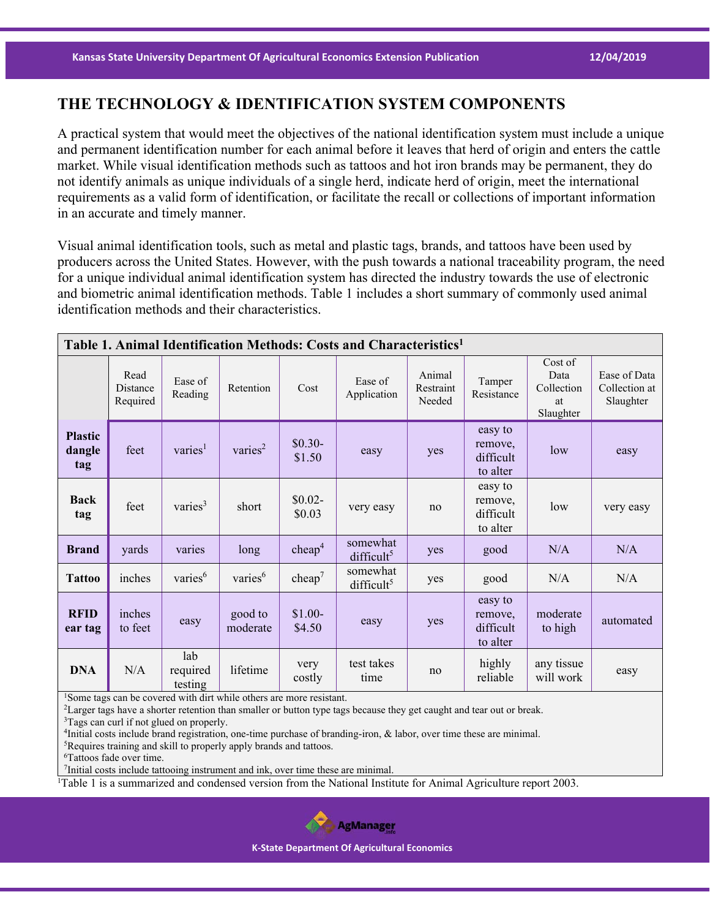#### **THE TECHNOLOGY & IDENTIFICATION SYSTEM COMPONENTS**

A practical system that would meet the objectives of the national identification system must include a unique and permanent identification number for each animal before it leaves that herd of origin and enters the cattle market. While visual identification methods such as tattoos and hot iron brands may be permanent, they do not identify animals as unique individuals of a single herd, indicate herd of origin, meet the international requirements as a valid form of identification, or facilitate the recall or collections of important information in an accurate and timely manner.

Visual animal identification tools, such as metal and plastic tags, brands, and tattoos have been used by producers across the United States. However, with the push towards a national traceability program, the need for a unique individual animal identification system has directed the industry towards the use of electronic and biometric animal identification methods. Table 1 includes a short summary of commonly used animal identification methods and their characteristics.

| Table 1. Animal Identification Methods: Costs and Characteristics <sup>1</sup> |                              |                            |                     |                    |                                    |                               |                                             |                                                  |                                            |
|--------------------------------------------------------------------------------|------------------------------|----------------------------|---------------------|--------------------|------------------------------------|-------------------------------|---------------------------------------------|--------------------------------------------------|--------------------------------------------|
|                                                                                | Read<br>Distance<br>Required | Ease of<br>Reading         | Retention           | Cost               | Ease of<br>Application             | Animal<br>Restraint<br>Needed | Tamper<br>Resistance                        | Cost of<br>Data<br>Collection<br>at<br>Slaughter | Ease of Data<br>Collection at<br>Slaughter |
| <b>Plastic</b><br>dangle<br>tag                                                | feet                         | varies <sup>1</sup>        | varies <sup>2</sup> | $$0.30-$<br>\$1.50 | easy                               | yes                           | easy to<br>remove,<br>difficult<br>to alter | low                                              | easy                                       |
| <b>Back</b><br>tag                                                             | feet                         | varies $3$                 | short               | $$0.02-$<br>\$0.03 | very easy                          | no                            | easy to<br>remove,<br>difficult<br>to alter | low                                              | very easy                                  |
| <b>Brand</b>                                                                   | yards                        | varies                     | long                | cheap <sup>4</sup> | somewhat<br>difficult <sup>5</sup> | yes                           | good                                        | N/A                                              | N/A                                        |
| <b>Tattoo</b>                                                                  | inches                       | varies <sup>6</sup>        | varies <sup>6</sup> | cheap <sup>7</sup> | somewhat<br>difficult <sup>5</sup> | yes                           | good                                        | N/A                                              | N/A                                        |
| <b>RFID</b><br>ear tag                                                         | inches<br>to feet            | easy                       | good to<br>moderate | $$1.00-$<br>\$4.50 | easy                               | yes                           | easy to<br>remove,<br>difficult<br>to alter | moderate<br>to high                              | automated                                  |
| <b>DNA</b>                                                                     | N/A                          | lab<br>required<br>testing | lifetime            | very<br>costly     | test takes<br>time                 | no                            | highly<br>reliable                          | any tissue<br>will work                          | easy                                       |

<sup>1</sup>Some tags can be covered with dirt while others are more resistant.<br><sup>2</sup>Larger tags have a shorter retention than smaller or button type tags because they get caught and tear out or break.<br><sup>3</sup>Tags can curl if not glued o

<sup>4</sup>Initial costs include brand registration, one-time purchase of branding-iron,  $\&$  labor, over time these are minimal. <sup>5</sup>Requires training and skill to properly apply brands and tattoos. 6Tattoos fade over time.

7Initial costs include tattooing instrument and ink, over time these are minimal.

<sup>1</sup>Table 1 is a summarized and condensed version from the National Institute for Animal Agriculture report 2003.

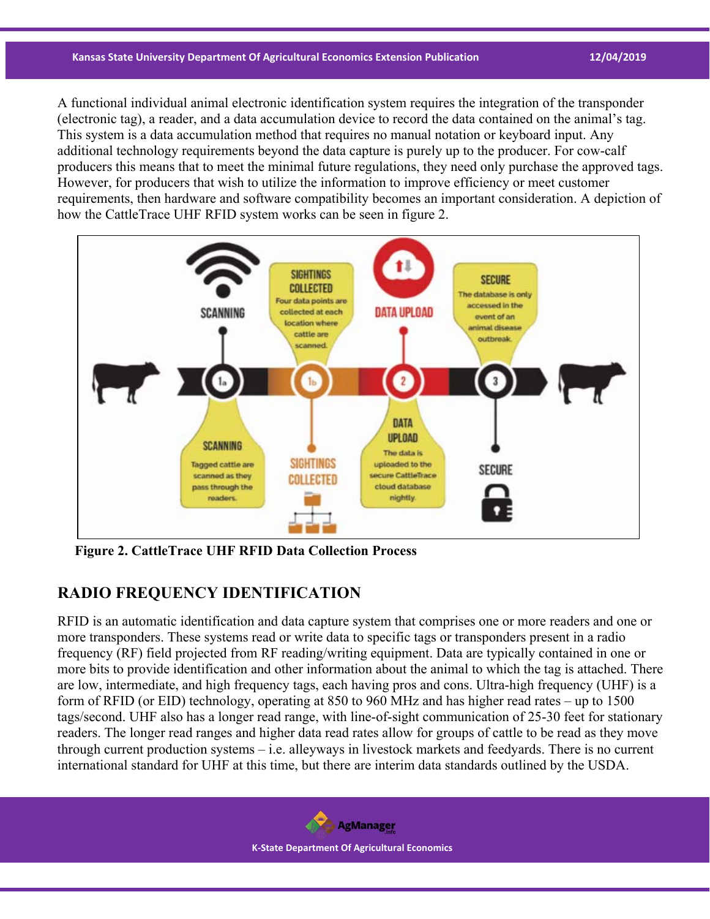#### **Kansas State University Department Of Agricultural Economics Extension Publication 12/04/2019**

A functional individual animal electronic identification system requires the integration of the transponder (electronic tag), a reader, and a data accumulation device to record the data contained on the animal's tag. This system is a data accumulation method that requires no manual notation or keyboard input. Any additional technology requirements beyond the data capture is purely up to the producer. For cow-calf producers this means that to meet the minimal future regulations, they need only purchase the approved tags. However, for producers that wish to utilize the information to improve efficiency or meet customer requirements, then hardware and software compatibility becomes an important consideration. A depiction of how the CattleTrace UHF RFID system works can be seen in figure 2.



 **Figure 2. CattleTrace UHF RFID Data Collection Process** 

## **RADIO FREQUENCY IDENTIFICATION**

RFID is an automatic identification and data capture system that comprises one or more readers and one or more transponders. These systems read or write data to specific tags or transponders present in a radio frequency (RF) field projected from RF reading/writing equipment. Data are typically contained in one or more bits to provide identification and other information about the animal to which the tag is attached. There are low, intermediate, and high frequency tags, each having pros and cons. Ultra-high frequency (UHF) is a form of RFID (or EID) technology, operating at 850 to 960 MHz and has higher read rates – up to 1500 tags/second. UHF also has a longer read range, with line-of-sight communication of 25-30 feet for stationary readers. The longer read ranges and higher data read rates allow for groups of cattle to be read as they move through current production systems – i.e. alleyways in livestock markets and feedyards. There is no current international standard for UHF at this time, but there are interim data standards outlined by the USDA.

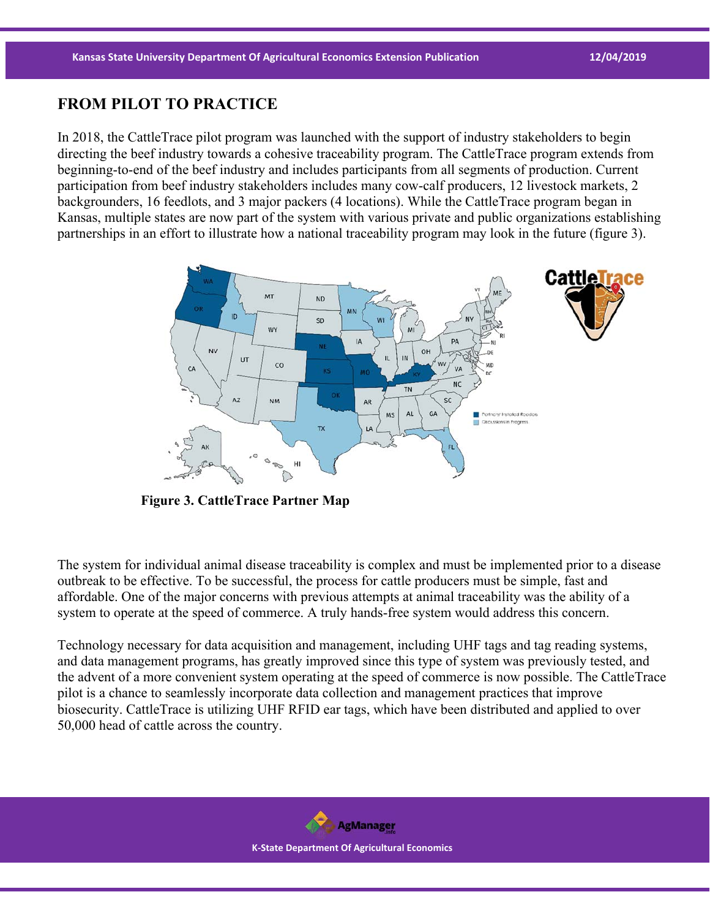#### **FROM PILOT TO PRACTICE**

In 2018, the CattleTrace pilot program was launched with the support of industry stakeholders to begin directing the beef industry towards a cohesive traceability program. The CattleTrace program extends from beginning-to-end of the beef industry and includes participants from all segments of production. Current participation from beef industry stakeholders includes many cow-calf producers, 12 livestock markets, 2 backgrounders, 16 feedlots, and 3 major packers (4 locations). While the CattleTrace program began in Kansas, multiple states are now part of the system with various private and public organizations establishing partnerships in an effort to illustrate how a national traceability program may look in the future (figure 3).



**Figure 3. CattleTrace Partner Map**

The system for individual animal disease traceability is complex and must be implemented prior to a disease outbreak to be effective. To be successful, the process for cattle producers must be simple, fast and affordable. One of the major concerns with previous attempts at animal traceability was the ability of a system to operate at the speed of commerce. A truly hands-free system would address this concern.

Technology necessary for data acquisition and management, including UHF tags and tag reading systems, and data management programs, has greatly improved since this type of system was previously tested, and the advent of a more convenient system operating at the speed of commerce is now possible. The CattleTrace pilot is a chance to seamlessly incorporate data collection and management practices that improve biosecurity. CattleTrace is utilizing UHF RFID ear tags, which have been distributed and applied to over 50,000 head of cattle across the country.

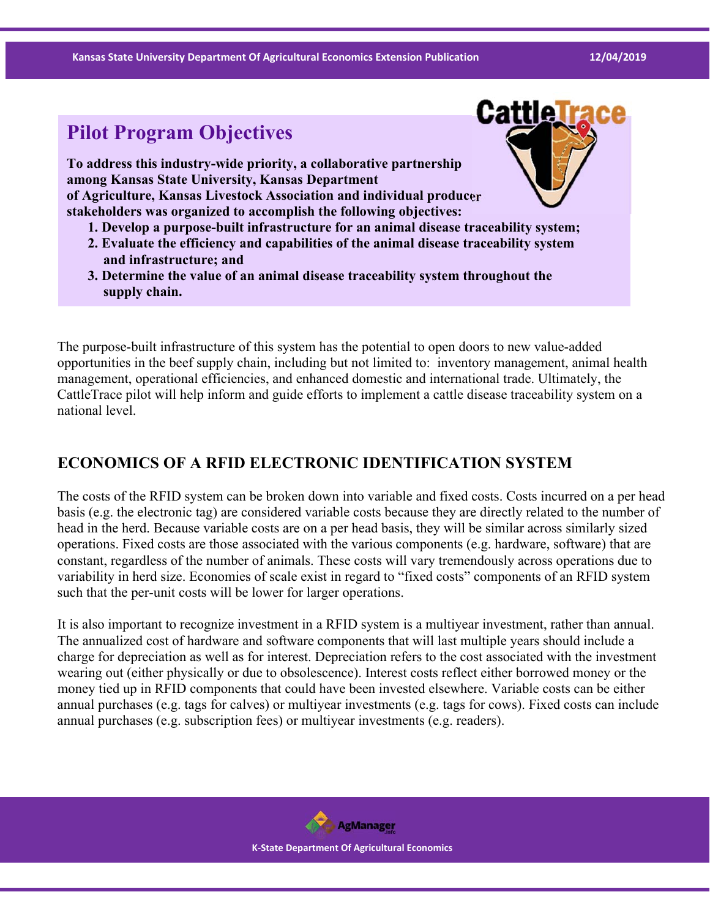**Kansas State University Department Of Agricultural Economics Extension Publication 12/04/2019**

Cattle

# **Pilot Program Objectives**

**To address this industry-wide priority, a collaborative partnership among Kansas State University, Kansas Department of Agriculture, Kansas Livestock Association and individual producer stakeholders was organized to accomplish the following objectives:**

- **1. Develop a purpose-built infrastructure for an animal disease traceability system;**
- **2. Evaluate the efficiency and capabilities of the animal disease traceability system and infrastructure; and**
- **3. Determine the value of an animal disease traceability system throughout the supply chain.**

The purpose-built infrastructure of this system has the potential to open doors to new value-added opportunities in the beef supply chain, including but not limited to: inventory management, animal health management, operational efficiencies, and enhanced domestic and international trade. Ultimately, the CattleTrace pilot will help inform and guide efforts to implement a cattle disease traceability system on a national level.

## **ECONOMICS OF A RFID ELECTRONIC IDENTIFICATION SYSTEM**

The costs of the RFID system can be broken down into variable and fixed costs. Costs incurred on a per head basis (e.g. the electronic tag) are considered variable costs because they are directly related to the number of head in the herd. Because variable costs are on a per head basis, they will be similar across similarly sized operations. Fixed costs are those associated with the various components (e.g. hardware, software) that are constant, regardless of the number of animals. These costs will vary tremendously across operations due to variability in herd size. Economies of scale exist in regard to "fixed costs" components of an RFID system such that the per-unit costs will be lower for larger operations.

It is also important to recognize investment in a RFID system is a multiyear investment, rather than annual. The annualized cost of hardware and software components that will last multiple years should include a charge for depreciation as well as for interest. Depreciation refers to the cost associated with the investment wearing out (either physically or due to obsolescence). Interest costs reflect either borrowed money or the money tied up in RFID components that could have been invested elsewhere. Variable costs can be either annual purchases (e.g. tags for calves) or multiyear investments (e.g. tags for cows). Fixed costs can include annual purchases (e.g. subscription fees) or multiyear investments (e.g. readers).

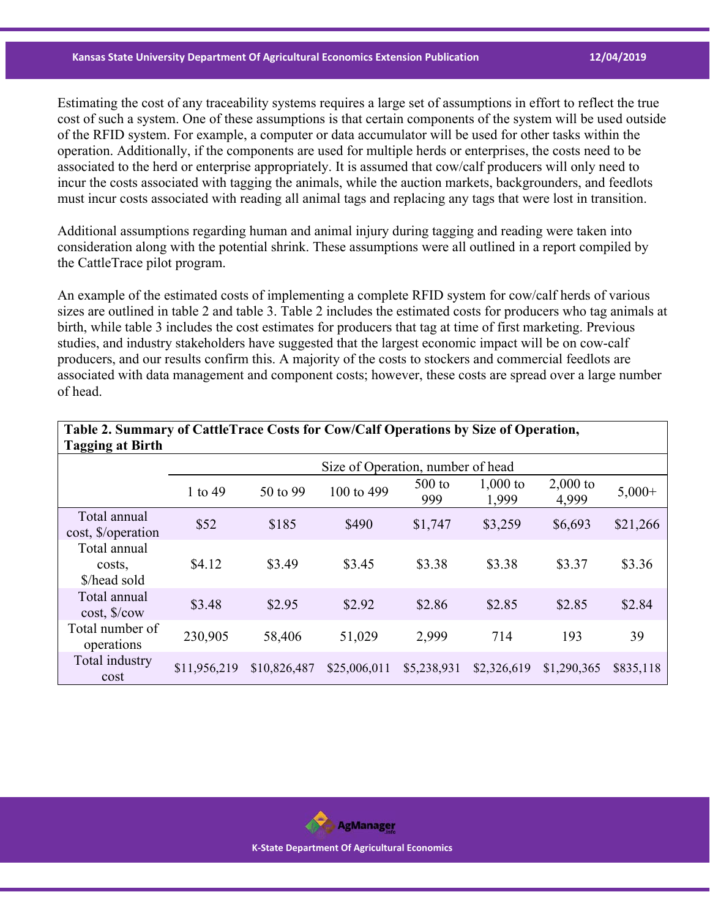#### **Kansas State University Department Of Agricultural Economics Extension Publication 12/04/2019**

Estimating the cost of any traceability systems requires a large set of assumptions in effort to reflect the true cost of such a system. One of these assumptions is that certain components of the system will be used outside of the RFID system. For example, a computer or data accumulator will be used for other tasks within the operation. Additionally, if the components are used for multiple herds or enterprises, the costs need to be associated to the herd or enterprise appropriately. It is assumed that cow/calf producers will only need to incur the costs associated with tagging the animals, while the auction markets, backgrounders, and feedlots must incur costs associated with reading all animal tags and replacing any tags that were lost in transition.

Additional assumptions regarding human and animal injury during tagging and reading were taken into consideration along with the potential shrink. These assumptions were all outlined in a report compiled by the CattleTrace pilot program.

An example of the estimated costs of implementing a complete RFID system for cow/calf herds of various sizes are outlined in table 2 and table 3. Table 2 includes the estimated costs for producers who tag animals at birth, while table 3 includes the cost estimates for producers that tag at time of first marketing. Previous studies, and industry stakeholders have suggested that the largest economic impact will be on cow-calf producers, and our results confirm this. A majority of the costs to stockers and commercial feedlots are associated with data management and component costs; however, these costs are spread over a large number of head.

| Tagging at Birth                           |              |                                   |              |                 |                     |                     |           |  |  |  |
|--------------------------------------------|--------------|-----------------------------------|--------------|-----------------|---------------------|---------------------|-----------|--|--|--|
|                                            |              | Size of Operation, number of head |              |                 |                     |                     |           |  |  |  |
|                                            | 1 to 49      | 50 to 99                          | 100 to 499   | $500$ to<br>999 | $1,000$ to<br>1,999 | $2,000$ to<br>4,999 | $5,000+$  |  |  |  |
| Total annual<br>cost, \$/operation         | \$52         | \$185                             | \$490        | \$1,747         | \$3,259             | \$6,693             | \$21,266  |  |  |  |
| Total annual<br>costs,<br>\$/head sold     | \$4.12       | \$3.49                            | \$3.45       | \$3.38          | \$3.38              | \$3.37              | \$3.36    |  |  |  |
| Total annual<br>$cost,$ $\sqrt{$}$ / $cov$ | \$3.48       | \$2.95                            | \$2.92       | \$2.86          | \$2.85              | \$2.85              | \$2.84    |  |  |  |
| Total number of<br>operations              | 230,905      | 58,406                            | 51,029       | 2,999           | 714                 | 193                 | 39        |  |  |  |
| Total industry<br>cost                     | \$11,956,219 | \$10,826,487                      | \$25,006,011 | \$5,238,931     | \$2,326,619         | \$1,290,365         | \$835,118 |  |  |  |

**Table 2. Summary of CattleTrace Costs for Cow/Calf Operations by Size of Operation, Tagging at Birth** 

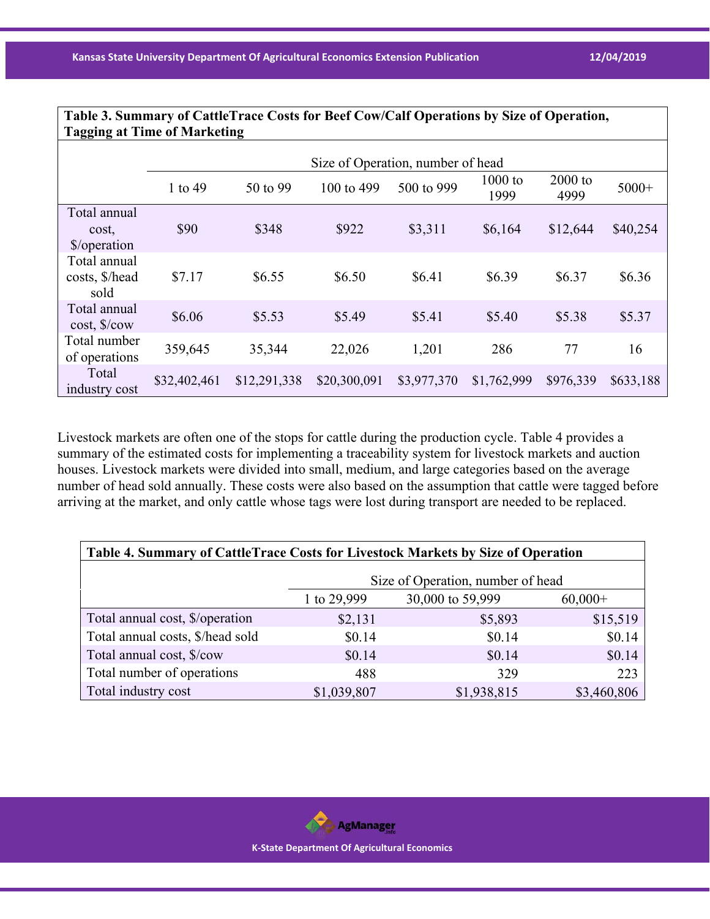| Table 3. Summary of CattleTrace Costs for Beef Cow/Calf Operations by Size of Operation,<br><b>Tagging at Time of Marketing</b> |                                   |              |              |             |                   |                   |           |  |  |  |
|---------------------------------------------------------------------------------------------------------------------------------|-----------------------------------|--------------|--------------|-------------|-------------------|-------------------|-----------|--|--|--|
|                                                                                                                                 |                                   |              |              |             |                   |                   |           |  |  |  |
|                                                                                                                                 | Size of Operation, number of head |              |              |             |                   |                   |           |  |  |  |
|                                                                                                                                 | 1 to 49                           | 50 to 99     | 100 to 499   | 500 to 999  | $1000$ to<br>1999 | $2000$ to<br>4999 | $5000+$   |  |  |  |
| Total annual<br>cost,<br>\$/operation                                                                                           | \$90                              | \$348        | \$922        | \$3,311     | \$6,164           | \$12,644          | \$40,254  |  |  |  |
| Total annual<br>costs, \$/head<br>sold                                                                                          | \$7.17                            | \$6.55       | \$6.50       | \$6.41      | \$6.39            | \$6.37            | \$6.36    |  |  |  |
| Total annual<br>cost, \$/cow                                                                                                    | \$6.06                            | \$5.53       | \$5.49       | \$5.41      | \$5.40            | \$5.38            | \$5.37    |  |  |  |
| Total number<br>of operations                                                                                                   | 359,645                           | 35,344       | 22,026       | 1,201       | 286               | 77                | 16        |  |  |  |
| Total<br>industry cost                                                                                                          | \$32,402,461                      | \$12,291,338 | \$20,300,091 | \$3,977,370 | \$1,762,999       | \$976,339         | \$633,188 |  |  |  |

Livestock markets are often one of the stops for cattle during the production cycle. Table 4 provides a summary of the estimated costs for implementing a traceability system for livestock markets and auction houses. Livestock markets were divided into small, medium, and large categories based on the average number of head sold annually. These costs were also based on the assumption that cattle were tagged before arriving at the market, and only cattle whose tags were lost during transport are needed to be replaced.

| Table 4. Summary of CattleTrace Costs for Livestock Markets by Size of Operation |                                              |             |             |  |  |  |  |  |  |
|----------------------------------------------------------------------------------|----------------------------------------------|-------------|-------------|--|--|--|--|--|--|
|                                                                                  | Size of Operation, number of head            |             |             |  |  |  |  |  |  |
|                                                                                  | 30,000 to 59,999<br>1 to 29,999<br>$60,000+$ |             |             |  |  |  |  |  |  |
| Total annual cost, \$/operation                                                  | \$2,131                                      | \$5,893     | \$15,519    |  |  |  |  |  |  |
| Total annual costs, \$/head sold                                                 | \$0.14                                       | \$0.14      | \$0.14      |  |  |  |  |  |  |
| Total annual cost, \$/cow                                                        | \$0.14                                       | \$0.14      | \$0.14      |  |  |  |  |  |  |
| Total number of operations                                                       | 488                                          | 329         | 223         |  |  |  |  |  |  |
| Total industry cost                                                              | \$1,039,807                                  | \$1,938,815 | \$3,460,806 |  |  |  |  |  |  |

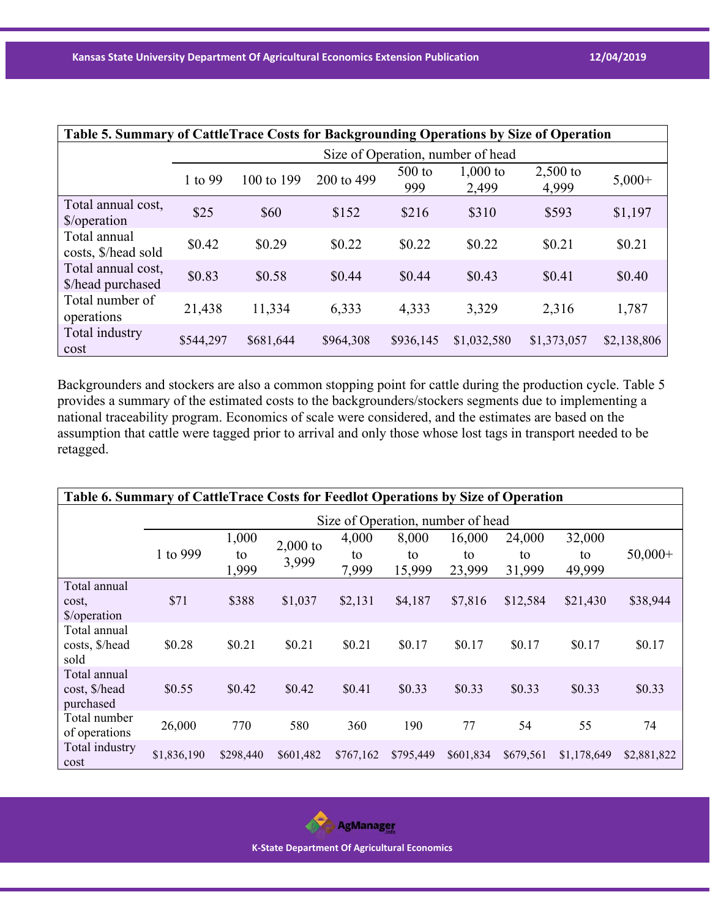| Table 5. Summary of CattleTrace Costs for Backgrounding Operations by Size of Operation |                                   |            |            |                 |                     |                     |             |  |  |
|-----------------------------------------------------------------------------------------|-----------------------------------|------------|------------|-----------------|---------------------|---------------------|-------------|--|--|
|                                                                                         | Size of Operation, number of head |            |            |                 |                     |                     |             |  |  |
|                                                                                         | 1 to 99                           | 100 to 199 | 200 to 499 | $500$ to<br>999 | $1,000$ to<br>2,499 | $2,500$ to<br>4,999 | $5,000+$    |  |  |
| Total annual cost,<br>\$/operation                                                      | \$25                              | \$60       | \$152      | \$216           | \$310               | \$593               | \$1,197     |  |  |
| Total annual<br>costs, \$/head sold                                                     | \$0.42                            | \$0.29     | \$0.22     | \$0.22          | \$0.22              | \$0.21              | \$0.21      |  |  |
| Total annual cost,<br>\$/head purchased                                                 | \$0.83                            | \$0.58     | \$0.44     | \$0.44          | \$0.43              | \$0.41              | \$0.40      |  |  |
| Total number of<br>operations                                                           | 21,438                            | 11,334     | 6,333      | 4,333           | 3,329               | 2,316               | 1,787       |  |  |
| Total industry<br>cost                                                                  | \$544,297                         | \$681,644  | \$964,308  | \$936,145       | \$1,032,580         | \$1,373,057         | \$2,138,806 |  |  |

Backgrounders and stockers are also a common stopping point for cattle during the production cycle. Table 5 provides a summary of the estimated costs to the backgrounders/stockers segments due to implementing a national traceability program. Economics of scale were considered, and the estimates are based on the assumption that cattle were tagged prior to arrival and only those whose lost tags in transport needed to be retagged.

| Table 6. Summary of CattleTrace Costs for Feedlot Operations by Size of Operation |                                   |                      |                     |                      |                       |                        |                        |                        |             |
|-----------------------------------------------------------------------------------|-----------------------------------|----------------------|---------------------|----------------------|-----------------------|------------------------|------------------------|------------------------|-------------|
|                                                                                   | Size of Operation, number of head |                      |                     |                      |                       |                        |                        |                        |             |
|                                                                                   | 1 to 999                          | 1,000<br>to<br>1,999 | $2,000$ to<br>3,999 | 4,000<br>to<br>7,999 | 8,000<br>to<br>15,999 | 16,000<br>to<br>23,999 | 24,000<br>to<br>31,999 | 32,000<br>to<br>49,999 | $50,000+$   |
| Total annual<br>cost,<br>\$/operation                                             | \$71                              | \$388                | \$1,037             | \$2,131              | \$4,187               | \$7,816                | \$12,584               | \$21,430               | \$38,944    |
| Total annual<br>costs, \$/head<br>sold                                            | \$0.28                            | \$0.21               | \$0.21              | \$0.21               | \$0.17                | \$0.17                 | \$0.17                 | \$0.17                 | \$0.17      |
| Total annual<br>cost, \$/head<br>purchased                                        | \$0.55                            | \$0.42               | \$0.42              | \$0.41               | \$0.33                | \$0.33                 | \$0.33                 | \$0.33                 | \$0.33      |
| Total number<br>of operations                                                     | 26,000                            | 770                  | 580                 | 360                  | 190                   | 77                     | 54                     | 55                     | 74          |
| Total industry<br>cost                                                            | \$1,836,190                       | \$298,440            | \$601,482           | \$767,162            | \$795,449             | \$601,834              | \$679,561              | \$1,178,649            | \$2,881,822 |

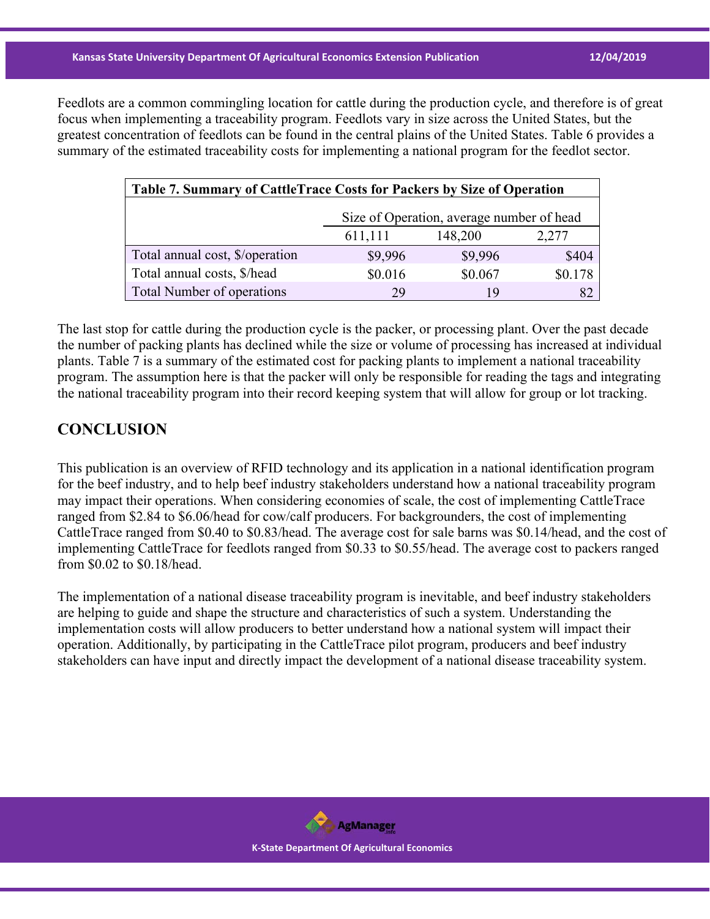Feedlots are a common commingling location for cattle during the production cycle, and therefore is of great focus when implementing a traceability program. Feedlots vary in size across the United States, but the greatest concentration of feedlots can be found in the central plains of the United States. Table 6 provides a summary of the estimated traceability costs for implementing a national program for the feedlot sector.

| Table 7. Summary of CattleTrace Costs for Packers by Size of Operation |         |         |         |  |  |  |  |  |
|------------------------------------------------------------------------|---------|---------|---------|--|--|--|--|--|
| Size of Operation, average number of head                              |         |         |         |  |  |  |  |  |
| 611,111<br>148,200<br>2,277                                            |         |         |         |  |  |  |  |  |
| Total annual cost, \$/operation                                        | \$9,996 | \$9,996 | \$404   |  |  |  |  |  |
| Total annual costs, \$/head                                            | \$0.016 | \$0.067 | \$0.178 |  |  |  |  |  |
| Total Number of operations                                             | 29      | 19      |         |  |  |  |  |  |

The last stop for cattle during the production cycle is the packer, or processing plant. Over the past decade the number of packing plants has declined while the size or volume of processing has increased at individual plants. Table 7 is a summary of the estimated cost for packing plants to implement a national traceability program. The assumption here is that the packer will only be responsible for reading the tags and integrating the national traceability program into their record keeping system that will allow for group or lot tracking.

#### **CONCLUSION**

This publication is an overview of RFID technology and its application in a national identification program for the beef industry, and to help beef industry stakeholders understand how a national traceability program may impact their operations. When considering economies of scale, the cost of implementing CattleTrace ranged from \$2.84 to \$6.06/head for cow/calf producers. For backgrounders, the cost of implementing CattleTrace ranged from \$0.40 to \$0.83/head. The average cost for sale barns was \$0.14/head, and the cost of implementing CattleTrace for feedlots ranged from \$0.33 to \$0.55/head. The average cost to packers ranged from \$0.02 to \$0.18/head.

The implementation of a national disease traceability program is inevitable, and beef industry stakeholders are helping to guide and shape the structure and characteristics of such a system. Understanding the implementation costs will allow producers to better understand how a national system will impact their operation. Additionally, by participating in the CattleTrace pilot program, producers and beef industry stakeholders can have input and directly impact the development of a national disease traceability system.